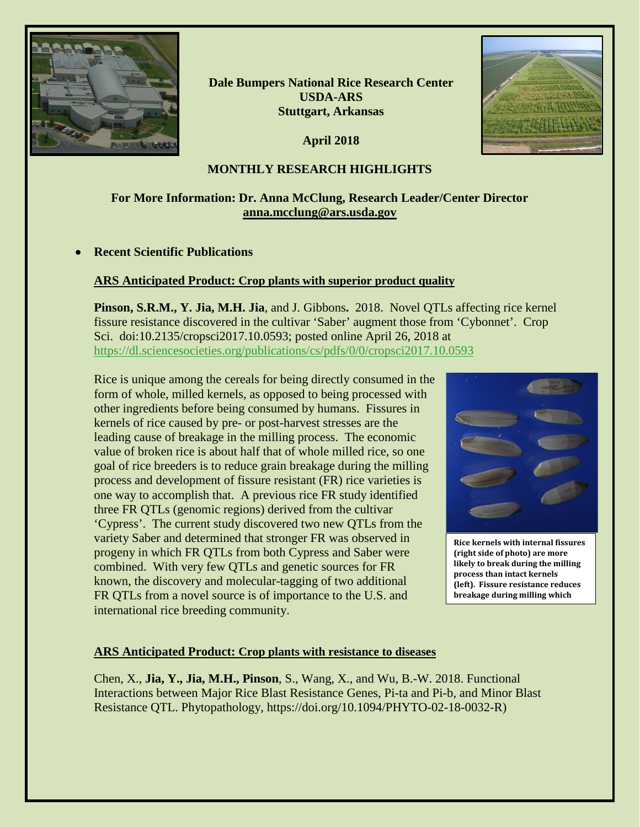

**Dale Bumpers National Rice Research Center USDA-ARS Stuttgart, Arkansas**

**April 2018**



### **MONTHLY RESEARCH HIGHLIGHTS**

## **For More Information: Dr. Anna McClung, Research Leader/Center Director [anna.mcclung@ars.usda.gov](mailto:anna.mcclung@ars.usda.gov)**

### • **Recent Scientific Publications**

#### **ARS Anticipated Product: Crop plants with superior product quality**

**Pinson, S.R.M., Y. Jia, M.H. Jia**, and J. Gibbons**.** 2018. Novel QTLs affecting rice kernel fissure resistance discovered in the cultivar 'Saber' augment those from 'Cybonnet'. Crop Sci. doi:10.2135/cropsci2017.10.0593; posted online April 26, 2018 at <https://dl.sciencesocieties.org/publications/cs/pdfs/0/0/cropsci2017.10.0593>

Rice is unique among the cereals for being directly consumed in the form of whole, milled kernels, as opposed to being processed with other ingredients before being consumed by humans. Fissures in kernels of rice caused by pre- or post-harvest stresses are the leading cause of breakage in the milling process. The economic value of broken rice is about half that of whole milled rice, so one goal of rice breeders is to reduce grain breakage during the milling process and development of fissure resistant (FR) rice varieties is one way to accomplish that. A previous rice FR study identified three FR QTLs (genomic regions) derived from the cultivar 'Cypress'. The current study discovered two new QTLs from the variety Saber and determined that stronger FR was observed in progeny in which FR QTLs from both Cypress and Saber were combined. With very few QTLs and genetic sources for FR known, the discovery and molecular-tagging of two additional FR QTLs from a novel source is of importance to the U.S. and international rice breeding community.



**Rice kernels with internal fissures (right side of photo) are more likely to break during the milling process than intact kernels (left). Fissure resistance reduces breakage during milling which** 

### **ARS Anticipated Product: Crop plants with resistance to diseases**

Chen, X., **Jia, Y., Jia, M.H., Pinson**, S., Wang, X., and Wu, B.-W. 2018. Functional Interactions between Major Rice Blast Resistance Genes, Pi-ta and Pi-b, and Minor Blast Resistance QTL. Phytopathology, https://doi.org/10.1094/PHYTO-02-18-0032-R)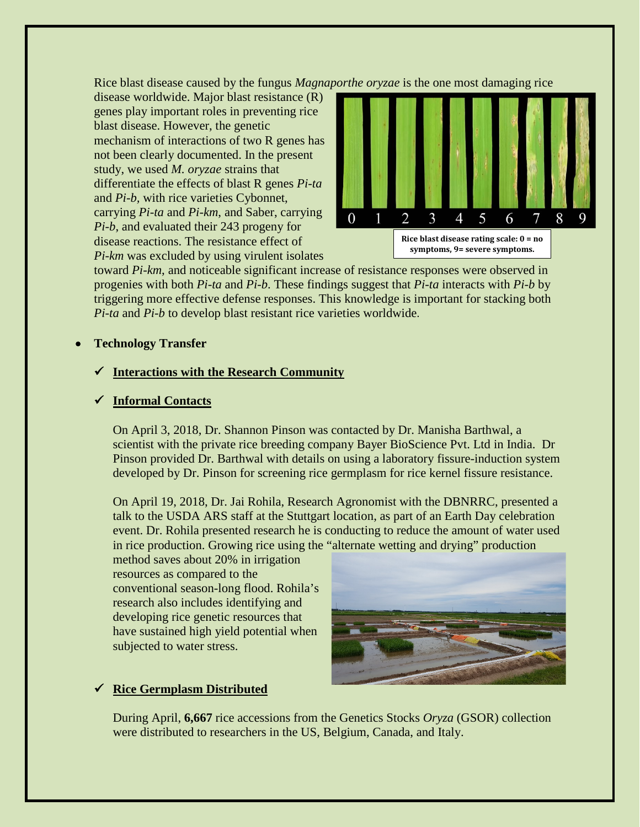Rice blast disease caused by the fungus *Magnaporthe oryzae* is the one most damaging rice

disease worldwide. Major blast resistance (R) genes play important roles in preventing rice blast disease. However, the genetic mechanism of interactions of two R genes has not been clearly documented. In the present study, we used *M. oryzae* strains that differentiate the effects of blast R genes *Pi-ta* and *Pi-b,* with rice varieties Cybonnet, carrying *Pi-ta* and *Pi-km*, and Saber, carrying *Pi-b*, and evaluated their 243 progeny for disease reactions. The resistance effect of *Pi-km* was excluded by using virulent isolates



toward *Pi-km*, and noticeable significant increase of resistance responses were observed in progenies with both *Pi-ta* and *Pi-b*. These findings suggest that *Pi-ta* interacts with *Pi-b* by triggering more effective defense responses. This knowledge is important for stacking both *Pi-ta* and *Pi-b* to develop blast resistant rice varieties worldwide.

### • **Technology Transfer**

### **Interactions with the Research Community**

### **Informal Contacts**

On April 3, 2018, Dr. Shannon Pinson was contacted by Dr. Manisha Barthwal, a scientist with the private rice breeding company Bayer BioScience Pvt. Ltd in India. Dr Pinson provided Dr. Barthwal with details on using a laboratory fissure-induction system developed by Dr. Pinson for screening rice germplasm for rice kernel fissure resistance.

On April 19, 2018, Dr. Jai Rohila, Research Agronomist with the DBNRRC, presented a talk to the USDA ARS staff at the Stuttgart location, as part of an Earth Day celebration event. Dr. Rohila presented research he is conducting to reduce the amount of water used in rice production. Growing rice using the "alternate wetting and drying" production

method saves about 20% in irrigation resources as compared to the conventional season-long flood. Rohila's research also includes identifying and developing rice genetic resources that have sustained high yield potential when subjected to water stress.



# **Rice Germplasm Distributed**

During April, **6,667** rice accessions from the Genetics Stocks *Oryza* (GSOR) collection were distributed to researchers in the US, Belgium, Canada, and Italy.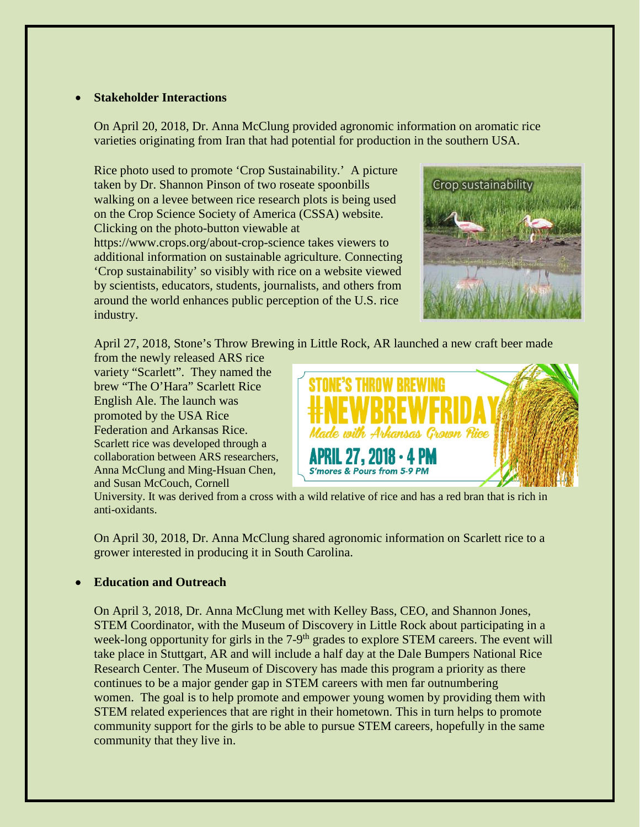### • **Stakeholder Interactions**

On April 20, 2018, Dr. Anna McClung provided agronomic information on aromatic rice varieties originating from Iran that had potential for production in the southern USA.

Rice photo used to promote 'Crop Sustainability.' A picture taken by Dr. Shannon Pinson of two roseate spoonbills walking on a levee between rice research plots is being used on the Crop Science Society of America (CSSA) website. Clicking on the photo-button viewable at https://www.crops.org/about-crop-science takes viewers to additional information on sustainable agriculture. Connecting 'Crop sustainability' so visibly with rice on a website viewed by scientists, educators, students, journalists, and others from around the world enhances public perception of the U.S. rice industry.



April 27, 2018, Stone's Throw Brewing in Little Rock, AR launched a new craft beer made

from the newly released ARS rice variety "Scarlett". They named the brew "The O'Hara" Scarlett Rice English Ale. The launch was promoted by the USA Rice Federation and Arkansas Rice. Scarlett rice was developed through a collaboration between ARS researchers, Anna McClung and Ming-Hsuan Chen, and Susan McCouch, Cornell



University. It was derived from a cross with a wild relative of rice and has a red bran that is rich in anti-oxidants.

On April 30, 2018, Dr. Anna McClung shared agronomic information on Scarlett rice to a grower interested in producing it in South Carolina.

### • **Education and Outreach**

On April 3, 2018, Dr. Anna McClung met with Kelley Bass, CEO, and Shannon Jones, STEM Coordinator, with the Museum of Discovery in Little Rock about participating in a week-long opportunity for girls in the  $7-9<sup>th</sup>$  grades to explore STEM careers. The event will take place in Stuttgart, AR and will include a half day at the Dale Bumpers National Rice Research Center. The Museum of Discovery has made this program a priority as there continues to be a major gender gap in STEM careers with men far outnumbering women. The goal is to help promote and empower young women by providing them with STEM related experiences that are right in their hometown. This in turn helps to promote community support for the girls to be able to pursue STEM careers, hopefully in the same community that they live in.